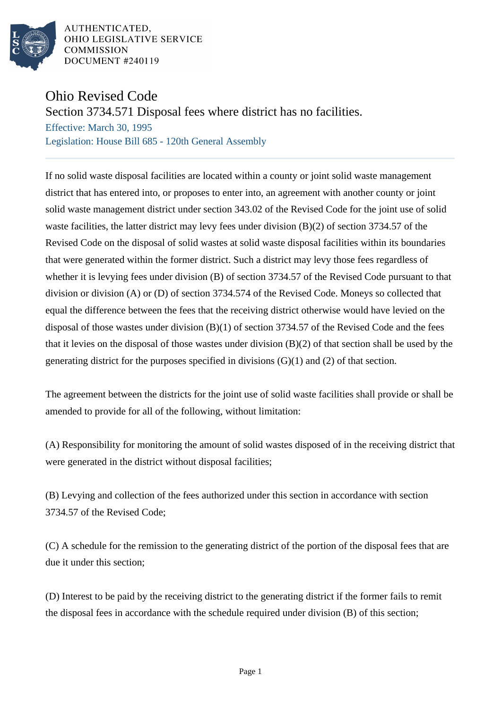

AUTHENTICATED. OHIO LEGISLATIVE SERVICE **COMMISSION DOCUMENT #240119** 

## Ohio Revised Code

Section 3734.571 Disposal fees where district has no facilities.

Effective: March 30, 1995 Legislation: House Bill 685 - 120th General Assembly

If no solid waste disposal facilities are located within a county or joint solid waste management district that has entered into, or proposes to enter into, an agreement with another county or joint solid waste management district under section 343.02 of the Revised Code for the joint use of solid waste facilities, the latter district may levy fees under division (B)(2) of section 3734.57 of the Revised Code on the disposal of solid wastes at solid waste disposal facilities within its boundaries that were generated within the former district. Such a district may levy those fees regardless of whether it is levying fees under division (B) of section 3734.57 of the Revised Code pursuant to that division or division (A) or (D) of section 3734.574 of the Revised Code. Moneys so collected that equal the difference between the fees that the receiving district otherwise would have levied on the disposal of those wastes under division (B)(1) of section 3734.57 of the Revised Code and the fees that it levies on the disposal of those wastes under division (B)(2) of that section shall be used by the generating district for the purposes specified in divisions (G)(1) and (2) of that section.

The agreement between the districts for the joint use of solid waste facilities shall provide or shall be amended to provide for all of the following, without limitation:

(A) Responsibility for monitoring the amount of solid wastes disposed of in the receiving district that were generated in the district without disposal facilities;

(B) Levying and collection of the fees authorized under this section in accordance with section 3734.57 of the Revised Code;

(C) A schedule for the remission to the generating district of the portion of the disposal fees that are due it under this section;

(D) Interest to be paid by the receiving district to the generating district if the former fails to remit the disposal fees in accordance with the schedule required under division (B) of this section;